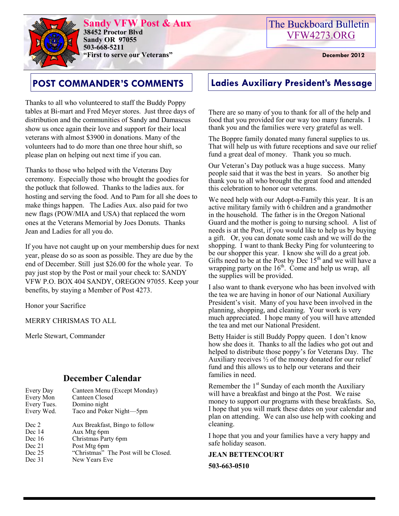

**Sandy VFW Post & Aux 38452 Proctor Blvd Sandy OR 97055 503-668-5211 "First to serve our Veterans" December 2012** 

# **POST COMMANDER'S COMMENTS Ladies Auxiliary President's Message**

Thanks to all who volunteered to staff the Buddy Poppy tables at Bi-mart and Fred Meyer stores. Just three days of distribution and the communities of Sandy and Damascus show us once again their love and support for their local veterans with almost \$3900 in donations. Many of the volunteers had to do more than one three hour shift, so please plan on helping out next time if you can.

Thanks to those who helped with the Veterans Day ceremony. Especially those who brought the goodies for the potluck that followed. Thanks to the ladies aux. for hosting and serving the food. And to Pam for all she does to make things happen. The Ladies Aux. also paid for two new flags (POW/MIA and USA) that replaced the worn ones at the Veterans Memorial by Joes Donuts. Thanks Jean and Ladies for all you do.

If you have not caught up on your membership dues for next year, please do so as soon as possible. They are due by the end of December. Still just \$26.00 for the whole year. To pay just stop by the Post or mail your check to: SANDY VFW P.O. BOX 404 SANDY, OREGON 97055. Keep your benefits, by staying a Member of Post 4273.

Honor your Sacrifice

MERRY CHRISMAS TO ALL

Merle Stewart, Commander

### **December Calendar**

| Every Day   | Canteen Menu (Except Monday) |
|-------------|------------------------------|
| Every Mon   | Canteen Closed               |
| Every Tues. | Domino night                 |
| Every Wed.  | Taco and Poker Night-5pm     |
|             |                              |

| Dec 2    | Aux Breakfast, Bingo to follow       |
|----------|--------------------------------------|
| Dec $14$ | Aux Mtg 6pm                          |
| Dec $16$ | Christmas Party 6pm                  |
| Dec 21   | Post Mtg 6pm                         |
| Dec $25$ | "Christmas" The Post will be Closed. |
| Dec 31   | New Years Eve                        |

There are so many of you to thank for all of the help and food that you provided for our way too many funerals. I thank you and the families were very grateful as well.

The Boppre family donated many funeral supplies to us. That will help us with future receptions and save our relief fund a great deal of money. Thank you so much.

Our Veteran's Day potluck was a huge success. Many people said that it was the best in years. So another big thank you to all who brought the great food and attended this celebration to honor our veterans.

We need help with our Adopt-a-Family this year. It is an active military family with  $\overline{6}$  children and a grandmother in the household. The father is in the Oregon National Guard and the mother is going to nursing school. A list of needs is at the Post, if you would like to help us by buying a gift. Or, you can donate some cash and we will do the shopping. I want to thank Becky Ping for volunteering to be our shopper this year. I know she will do a great job. Gifts need to be at the Post by Dec  $15<sup>th</sup>$  and we will have a wrapping party on the  $16<sup>th</sup>$ . Come and help us wrap, all the supplies will be provided.

I also want to thank everyone who has been involved with the tea we are having in honor of our National Auxiliary President's visit. Many of you have been involved in the planning, shopping, and cleaning. Your work is very much appreciated. I hope many of you will have attended the tea and met our National President.

Betty Haider is still Buddy Poppy queen. I don't know how she does it. Thanks to all the ladies who got out and helped to distribute those poppy's for Veterans Day. The Auxiliary receives  $\frac{1}{2}$  of the money donated for our relief fund and this allows us to help our veterans and their families in need.

Remember the  $1<sup>st</sup>$  Sunday of each month the Auxiliary will have a breakfast and bingo at the Post. We raise money to support our programs with these breakfasts. So, I hope that you will mark these dates on your calendar and plan on attending. We can also use help with cooking and cleaning.

I hope that you and your families have a very happy and safe holiday season.

**JEAN BETTENCOURT 503-663-0510**

The Buckboard Bulletin [VFW4273.ORG](http://vfw4273.org/)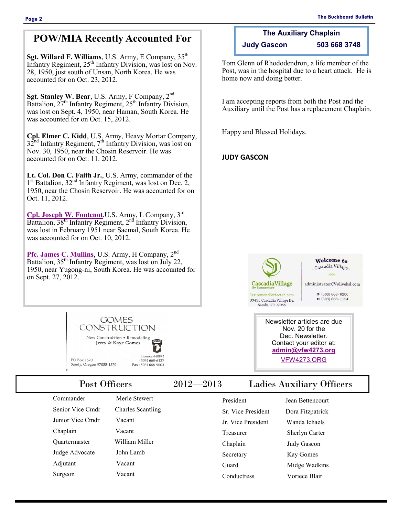**The Auxiliary Chaplain Judy Gascon 503 668 3748**

Tom Glenn of Rhododendron, a life member of the Post, was in the hospital due to a heart attack. He is

I am accepting reports from both the Post and the Auxiliary until the Post has a replacement Chaplain.

home now and doing better.

Happy and Blessed Holidays.

**JUDY GASCON**

### **POW/MIA Recently Accounted For**

**Sgt. Willard F. Williams**, U.S. Army, E Company, 35<sup>th</sup> Infantry Regiment, 25<sup>th</sup> Infantry Division, was lost on Nov. 28, 1950, just south of Unsan, North Korea. He was accounted for on Oct. 23, 2012.

**Sgt. Stanley W. Bear**, U.S. Army, F Company, 2<sup>nd</sup> Battalion,  $27<sup>th</sup>$  Infantry Regiment,  $25<sup>th</sup>$  Infantry Division, was lost on Sept. 4, 1950, near Haman, South Korea. He was accounted for on Oct. 15, 2012.

**Cpl. Elmer C. Kidd**, U.S. Army, Heavy Mortar Company,  $32<sup>nd</sup>$  Infantry Regiment,  $7<sup>th</sup>$  Infantry Division, was lost on Nov. 30, 1950, near the Chosin Reservoir. He was accounted for on Oct. 11. 2012.

**Lt. Col. Don C. Faith Jr.**, U.S. Army, commander of the 1<sup>st</sup> Battalion, 32<sup>nd</sup> Infantry Regiment, was lost on Dec. 2, 1950, near the Chosin Reservoir. He was accounted for on Oct. 11, 2012.

**[Cpl. Joseph W. Fontenot](http://www.dtic.mil/dpmo/news/news_releases/2012/release_fontenot.pdf)**,U.S. Army, L Company, 3rd Battalion, 38<sup>th</sup> Infantry Regiment, 2<sup>nd</sup> Infantry Division, was lost in February 1951 near Saemal, South Korea. He was accounted for on Oct. 10, 2012.

[Pfc. James C. Mullins](http://www.dtic.mil/dpmo/news/news_releases/2012/release_mullins.pdf), U.S. Army, H Company, 2<sup>nd</sup> Battalion,  $35<sup>th</sup>$  Infantry Regiment, was lost on July 22, 1950, near Yugong-ni, South Korea. He was accounted for on Sept. 27, 2012.



PO Box 1570 Sandy, Oregon 97055-1570

Junior Vice Cmdr Vacant Chaplain Vacant Quartermaster William Miller Judge Advocate John Lamb Adjutant Vacant Surgeon Vacant

Commander Merle Stewert Senior Vice Cmdr Charles Scantling

Licence #60873

 $(503) 668 - 6127$ 

Fax (503) 668-9003

## Post Officers 2012—2013 Ladies Auxiliary Officers

| Jean Bettencourt      |
|-----------------------|
| Dora Fitzpatrick      |
| Wanda Ichaels         |
| <b>Sherlyn Carter</b> |
| <b>Judy Gascon</b>    |
| Kay Gomes             |
| Midge Wadkins         |
| Voriece Blair         |
|                       |

RetirementPerfected.com

39495 Cascadia Village Dr. Sandy, OR 97055

# Cascadia Village CascadiaVillage

administratorCV@livebsl.com

Welcome to

 $O: (503) 668 - 0300$ 

Newsletter articles are due Nov. 20 for the Dec. Newsletter. Contact your editor at: **[admin@vfw4273.org](mailto:admin@vfw4273.org)** [VFW4273.ORG](http://vfw4273.org/)

 $F: (503) 668 - 1154$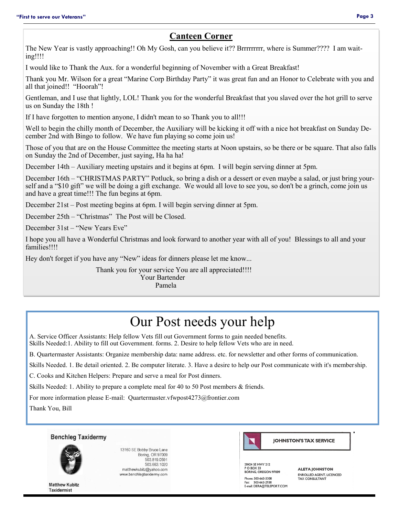### **Canteen Corner**

The New Year is vastly approaching!! Oh My Gosh, can you believe it?? Brrrrrrrrr, where is Summer???? I am waiting!!!!

I would like to Thank the Aux. for a wonderful beginning of November with a Great Breakfast!

Thank you Mr. Wilson for a great "Marine Corp Birthday Party" it was great fun and an Honor to Celebrate with you and all that joined!! "Hoorah"!

Gentleman, and I use that lightly, LOL! Thank you for the wonderful Breakfast that you slaved over the hot grill to serve us on Sunday the 18th !

If I have forgotten to mention anyone, I didn't mean to so Thank you to all!!!

Well to begin the chilly month of December, the Auxiliary will be kicking it off with a nice hot breakfast on Sunday December 2nd with Bingo to follow. We have fun playing so come join us!

Those of you that are on the House Committee the meeting starts at Noon upstairs, so be there or be square. That also falls on Sunday the 2nd of December, just saying, Ha ha ha!

December 14th – Auxiliary meeting upstairs and it begins at 6pm. I will begin serving dinner at 5pm.

December 16th – "CHRISTMAS PARTY" Potluck, so bring a dish or a dessert or even maybe a salad, or just bring yourself and a "\$10 gift" we will be doing a gift exchange. We would all love to see you, so don't be a grinch, come join us and have a great time!!! The fun begins at 6pm.

December 21st – Post meeting begins at 6pm. I will begin serving dinner at 5pm.

December 25th – "Christmas" The Post will be Closed.

December 31st – "New Years Eve"

I hope you all have a Wonderful Christmas and look forward to another year with all of you! Blessings to all and your families!!!!

Hey don't forget if you have any "New" ideas for dinners please let me know...

Thank you for your service You are all appreciated!!!! Your Bartender

Pamela

# Our Post needs your help

A. Service Officer Assistants: Help fellow Vets fill out Government forms to gain needed benefits.

Skills Needed:1. Ability to fill out Government. forms. 2. Desire to help fellow Vets who are in need.

B. Quartermaster Assistants: Organize membership data: name address. etc. for newsletter and other forms of communication.

Skills Needed. 1. Be detail oriented. 2. Be computer literate. 3. Have a desire to help our Post communicate with it's membership.

C. Cooks and Kitchen Helpers: Prepare and serve a meal for Post dinners.

Skills Needed: 1. Ability to prepare a complete meal for 40 to 50 Post members & friends.

For more information please E-mail: Quartermaster.vfwpost4273@frontier.com

Thank You, Bill





13160 SE Bobby Bruce Lane Boring, OR 97009 503.819.0591 503.663.1020 matthewkubitz@yahoo.com www.benchlegtaxidermy.com



28424 SE HWY 212<br>P O BOX 33 20424 SE HWT 212<br>P O BOX 33<br>BORING, OREGON 97009 Phone: 503-663-3308

503-663-2938 E-mail: DERA@TELEPORT.COM **ALETA JOHNSTON ENROLLED AGENT, LICENCED**<br>TAX CONSULTANT

**Matthew Kubitz Taxidermist**